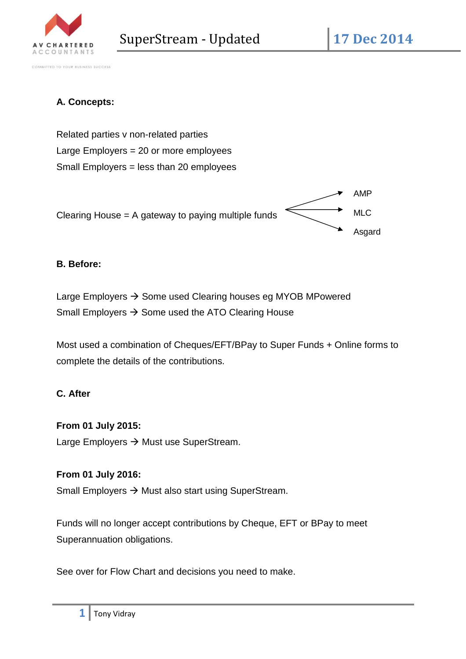

COMMITTED TO YOUR BUSINESS SUCCESS

# **A. Concepts:**

Related parties v non-related parties Large Employers = 20 or more employees Small Employers = less than 20 employees



## **B. Before:**

Large Employers  $\rightarrow$  Some used Clearing houses eg MYOB MPowered Small Employers  $\rightarrow$  Some used the ATO Clearing House

Most used a combination of Cheques/EFT/BPay to Super Funds + Online forms to complete the details of the contributions.

## **C. After**

### **From 01 July 2015:**

Large Employers  $\rightarrow$  Must use SuperStream.

### **From 01 July 2016:**

Small Employers  $\rightarrow$  Must also start using SuperStream.

Funds will no longer accept contributions by Cheque, EFT or BPay to meet Superannuation obligations.

See over for Flow Chart and decisions you need to make.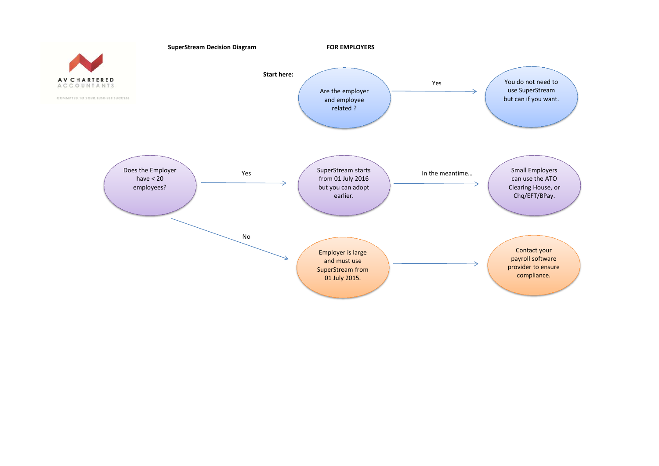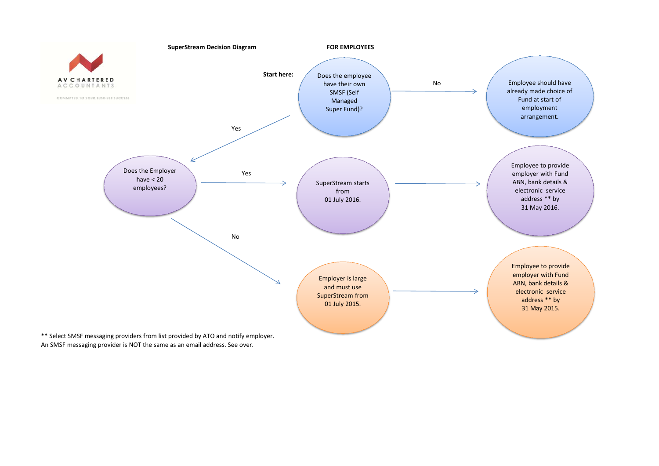

An SMSF messaging provider is NOT the same as an email address. See over.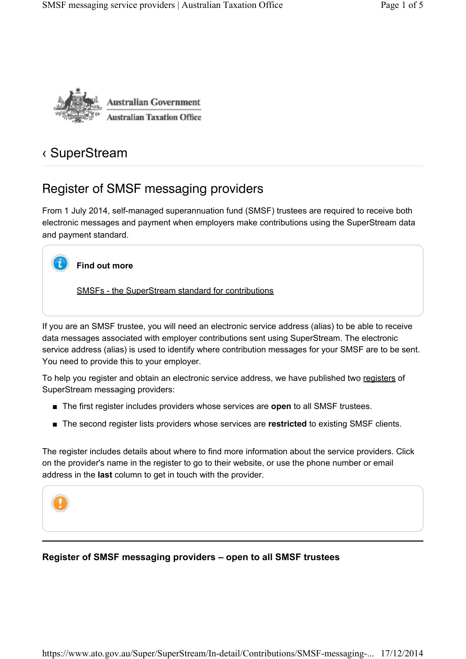

# ‹ SuperStream

# Register of SMSF messaging providers

From 1 July 2014, self-managed superannuation fund (SMSF) trustees are required to receive both electronic messages and payment when employers make contributions using the SuperStream data and payment standard.



### **Find out more**

SMSFs - the SuperStream standard for contributions

If you are an SMSF trustee, you will need an electronic service address (alias) to be able to receive data messages associated with employer contributions sent using SuperStream. The electronic service address (alias) is used to identify where contribution messages for your SMSF are to be sent. You need to provide this to your employer.

To help you register and obtain an electronic service address, we have published two registers of SuperStream messaging providers:

- The first register includes providers whose services are **open** to all SMSF trustees.
- The second register lists providers whose services are **restricted** to existing SMSF clients.

The register includes details about where to find more information about the service providers. Click on the provider's name in the register to go to their website, or use the phone number or email address in the **last** column to get in touch with the provider.



### **Register of SMSF messaging providers – open to all SMSF trustees**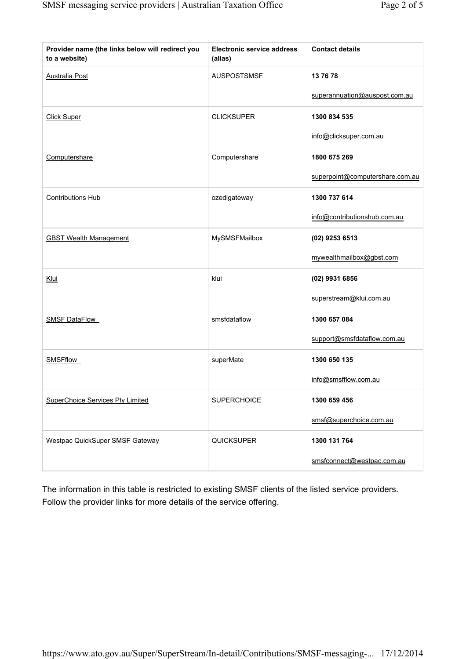| Provider name (the links below will redirect you<br>to a website) | <b>Electronic service address</b><br>(alias) | <b>Contact details</b>          |
|-------------------------------------------------------------------|----------------------------------------------|---------------------------------|
| <b>Australia Post</b>                                             | <b>AUSPOSTSMSF</b>                           | 13 76 78                        |
|                                                                   |                                              | superannuation@auspost.com.au   |
| <b>Click Super</b>                                                | <b>CLICKSUPER</b>                            | 1300 834 535                    |
|                                                                   |                                              | info@clicksuper.com.au          |
| Computershare                                                     | Computershare                                | 1800 675 269                    |
|                                                                   |                                              | superpoint@computershare.com.au |
| <b>Contributions Hub</b>                                          | ozedigateway                                 | 1300 737 614                    |
|                                                                   |                                              | info@contributionshub.com.au    |
| <b>GBST Wealth Management</b>                                     | MySMSFMailbox                                | (02) 9253 6513                  |
|                                                                   |                                              | mywealthmailbox@gbst.com        |
| Klui                                                              | klui                                         | (02) 9931 6856                  |
|                                                                   |                                              | superstream@klui.com.au         |
| <b>SMSF DataFlow</b>                                              | smsfdataflow                                 | 1300 657 084                    |
|                                                                   |                                              | support@smsfdataflow.com.au     |
| <b>SMSFflow</b>                                                   | superMate                                    | 1300 650 135                    |
|                                                                   |                                              | info@smsfflow.com.au            |
| <b>SuperChoice Services Pty Limited</b>                           | <b>SUPERCHOICE</b>                           | 1300 659 456                    |
|                                                                   |                                              | smsf@superchoice.com.au         |
| <b>Westpac QuickSuper SMSF Gateway</b>                            | <b>QUICKSUPER</b>                            | 1300 131 764                    |
|                                                                   |                                              | smsfconnect@westpac.com.au      |

The information in this table is restricted to existing SMSF clients of the listed service providers. Follow the provider links for more details of the service offering.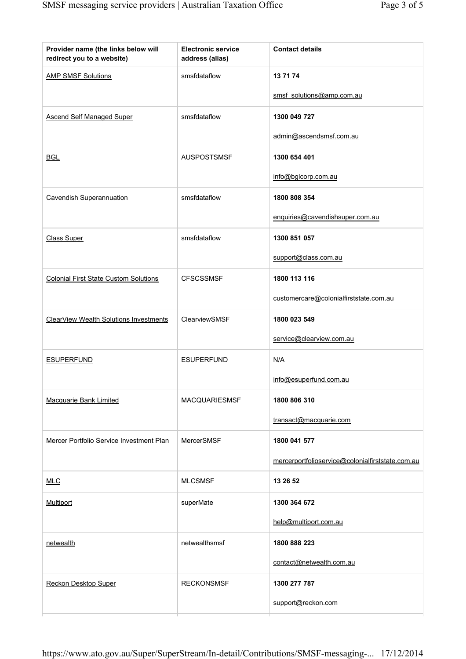| smsfdataflow<br>13 71 74<br><b>AMP SMSF Solutions</b><br>smsf solutions@amp.com.au<br><b>Ascend Self Managed Super</b><br>smsfdataflow<br>1300 049 727<br>admin@ascendsmsf.com.au<br><b>AUSPOSTSMSF</b><br>1300 654 401<br><b>BGL</b><br>info@bglcorp.com.au<br>smsfdataflow<br><b>Cavendish Superannuation</b><br>1800 808 354<br>enquiries@cavendishsuper.com.au<br>smsfdataflow<br>1300 851 057<br><b>Class Super</b><br>support@class.com.au<br><b>Colonial First State Custom Solutions</b><br><b>CFSCSSMSF</b><br>1800 113 116<br>customercare@colonialfirststate.com.au<br>ClearView Wealth Solutions Investments<br>ClearviewSMSF<br>1800 023 549<br>service@clearview.com.au<br>N/A<br><b>ESUPERFUND</b><br><b>ESUPERFUND</b><br>info@esuperfund.com.au<br>MACQUARIESMSF<br>1800 806 310<br><b>Macquarie Bank Limited</b><br>transact@macquarie.com<br>Mercer Portfolio Service Investment Plan<br>MercerSMSF<br>1800 041 577<br>mercerportfolioservice@colonialfirststate.com.au<br><b>MLCSMSF</b><br>13 26 52<br><b>MLC</b><br>superMate<br>Multiport<br>1300 364 672<br>help@multiport.com.au<br>netwealthsmsf<br>1800 888 223<br>netwealth<br>contact@netwealth.com.au<br><b>RECKONSMSF</b><br>1300 277 787<br>Reckon Desktop Super<br>support@reckon.com | Provider name (the links below will<br>redirect you to a website) | <b>Electronic service</b><br>address (alias) | <b>Contact details</b> |
|------------------------------------------------------------------------------------------------------------------------------------------------------------------------------------------------------------------------------------------------------------------------------------------------------------------------------------------------------------------------------------------------------------------------------------------------------------------------------------------------------------------------------------------------------------------------------------------------------------------------------------------------------------------------------------------------------------------------------------------------------------------------------------------------------------------------------------------------------------------------------------------------------------------------------------------------------------------------------------------------------------------------------------------------------------------------------------------------------------------------------------------------------------------------------------------------------------------------------------------------------------------------|-------------------------------------------------------------------|----------------------------------------------|------------------------|
|                                                                                                                                                                                                                                                                                                                                                                                                                                                                                                                                                                                                                                                                                                                                                                                                                                                                                                                                                                                                                                                                                                                                                                                                                                                                        |                                                                   |                                              |                        |
|                                                                                                                                                                                                                                                                                                                                                                                                                                                                                                                                                                                                                                                                                                                                                                                                                                                                                                                                                                                                                                                                                                                                                                                                                                                                        |                                                                   |                                              |                        |
|                                                                                                                                                                                                                                                                                                                                                                                                                                                                                                                                                                                                                                                                                                                                                                                                                                                                                                                                                                                                                                                                                                                                                                                                                                                                        |                                                                   |                                              |                        |
|                                                                                                                                                                                                                                                                                                                                                                                                                                                                                                                                                                                                                                                                                                                                                                                                                                                                                                                                                                                                                                                                                                                                                                                                                                                                        |                                                                   |                                              |                        |
|                                                                                                                                                                                                                                                                                                                                                                                                                                                                                                                                                                                                                                                                                                                                                                                                                                                                                                                                                                                                                                                                                                                                                                                                                                                                        |                                                                   |                                              |                        |
|                                                                                                                                                                                                                                                                                                                                                                                                                                                                                                                                                                                                                                                                                                                                                                                                                                                                                                                                                                                                                                                                                                                                                                                                                                                                        |                                                                   |                                              |                        |
|                                                                                                                                                                                                                                                                                                                                                                                                                                                                                                                                                                                                                                                                                                                                                                                                                                                                                                                                                                                                                                                                                                                                                                                                                                                                        |                                                                   |                                              |                        |
|                                                                                                                                                                                                                                                                                                                                                                                                                                                                                                                                                                                                                                                                                                                                                                                                                                                                                                                                                                                                                                                                                                                                                                                                                                                                        |                                                                   |                                              |                        |
|                                                                                                                                                                                                                                                                                                                                                                                                                                                                                                                                                                                                                                                                                                                                                                                                                                                                                                                                                                                                                                                                                                                                                                                                                                                                        |                                                                   |                                              |                        |
|                                                                                                                                                                                                                                                                                                                                                                                                                                                                                                                                                                                                                                                                                                                                                                                                                                                                                                                                                                                                                                                                                                                                                                                                                                                                        |                                                                   |                                              |                        |
|                                                                                                                                                                                                                                                                                                                                                                                                                                                                                                                                                                                                                                                                                                                                                                                                                                                                                                                                                                                                                                                                                                                                                                                                                                                                        |                                                                   |                                              |                        |
|                                                                                                                                                                                                                                                                                                                                                                                                                                                                                                                                                                                                                                                                                                                                                                                                                                                                                                                                                                                                                                                                                                                                                                                                                                                                        |                                                                   |                                              |                        |
|                                                                                                                                                                                                                                                                                                                                                                                                                                                                                                                                                                                                                                                                                                                                                                                                                                                                                                                                                                                                                                                                                                                                                                                                                                                                        |                                                                   |                                              |                        |
|                                                                                                                                                                                                                                                                                                                                                                                                                                                                                                                                                                                                                                                                                                                                                                                                                                                                                                                                                                                                                                                                                                                                                                                                                                                                        |                                                                   |                                              |                        |
|                                                                                                                                                                                                                                                                                                                                                                                                                                                                                                                                                                                                                                                                                                                                                                                                                                                                                                                                                                                                                                                                                                                                                                                                                                                                        |                                                                   |                                              |                        |
|                                                                                                                                                                                                                                                                                                                                                                                                                                                                                                                                                                                                                                                                                                                                                                                                                                                                                                                                                                                                                                                                                                                                                                                                                                                                        |                                                                   |                                              |                        |
|                                                                                                                                                                                                                                                                                                                                                                                                                                                                                                                                                                                                                                                                                                                                                                                                                                                                                                                                                                                                                                                                                                                                                                                                                                                                        |                                                                   |                                              |                        |
|                                                                                                                                                                                                                                                                                                                                                                                                                                                                                                                                                                                                                                                                                                                                                                                                                                                                                                                                                                                                                                                                                                                                                                                                                                                                        |                                                                   |                                              |                        |
|                                                                                                                                                                                                                                                                                                                                                                                                                                                                                                                                                                                                                                                                                                                                                                                                                                                                                                                                                                                                                                                                                                                                                                                                                                                                        |                                                                   |                                              |                        |
|                                                                                                                                                                                                                                                                                                                                                                                                                                                                                                                                                                                                                                                                                                                                                                                                                                                                                                                                                                                                                                                                                                                                                                                                                                                                        |                                                                   |                                              |                        |
|                                                                                                                                                                                                                                                                                                                                                                                                                                                                                                                                                                                                                                                                                                                                                                                                                                                                                                                                                                                                                                                                                                                                                                                                                                                                        |                                                                   |                                              |                        |
|                                                                                                                                                                                                                                                                                                                                                                                                                                                                                                                                                                                                                                                                                                                                                                                                                                                                                                                                                                                                                                                                                                                                                                                                                                                                        |                                                                   |                                              |                        |
|                                                                                                                                                                                                                                                                                                                                                                                                                                                                                                                                                                                                                                                                                                                                                                                                                                                                                                                                                                                                                                                                                                                                                                                                                                                                        |                                                                   |                                              |                        |
|                                                                                                                                                                                                                                                                                                                                                                                                                                                                                                                                                                                                                                                                                                                                                                                                                                                                                                                                                                                                                                                                                                                                                                                                                                                                        |                                                                   |                                              |                        |
|                                                                                                                                                                                                                                                                                                                                                                                                                                                                                                                                                                                                                                                                                                                                                                                                                                                                                                                                                                                                                                                                                                                                                                                                                                                                        |                                                                   |                                              |                        |
|                                                                                                                                                                                                                                                                                                                                                                                                                                                                                                                                                                                                                                                                                                                                                                                                                                                                                                                                                                                                                                                                                                                                                                                                                                                                        |                                                                   |                                              |                        |
|                                                                                                                                                                                                                                                                                                                                                                                                                                                                                                                                                                                                                                                                                                                                                                                                                                                                                                                                                                                                                                                                                                                                                                                                                                                                        |                                                                   |                                              |                        |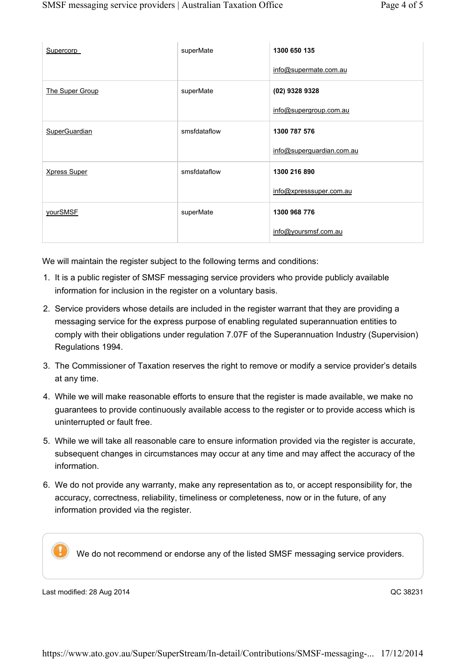| Supercorp            | superMate    | 1300 650 135<br>info@supermate.com.au     |
|----------------------|--------------|-------------------------------------------|
| The Super Group      | superMate    | (02) 9328 9328<br>info@supergroup.com.au  |
| <b>SuperGuardian</b> | smsfdataflow | 1300 787 576<br>info@superguardian.com.au |
| <b>Xpress Super</b>  | smsfdataflow | 1300 216 890<br>info@xpresssuper.com.au   |
| yourSMSF             | superMate    | 1300 968 776<br>info@yoursmsf.com.au      |

We will maintain the register subject to the following terms and conditions:

- 1. It is a public register of SMSF messaging service providers who provide publicly available information for inclusion in the register on a voluntary basis.
- 2. Service providers whose details are included in the register warrant that they are providing a messaging service for the express purpose of enabling regulated superannuation entities to comply with their obligations under regulation 7.07F of the Superannuation Industry (Supervision) Regulations 1994.
- 3. The Commissioner of Taxation reserves the right to remove or modify a service provider's details at any time.
- 4. While we will make reasonable efforts to ensure that the register is made available, we make no guarantees to provide continuously available access to the register or to provide access which is uninterrupted or fault free.
- 5. While we will take all reasonable care to ensure information provided via the register is accurate, subsequent changes in circumstances may occur at any time and may affect the accuracy of the information.
- 6. We do not provide any warranty, make any representation as to, or accept responsibility for, the accuracy, correctness, reliability, timeliness or completeness, now or in the future, of any information provided via the register.

We do not recommend or endorse any of the listed SMSF messaging service providers.

Last modified: 28 Aug 2014 **Development Controllering** CC 38231